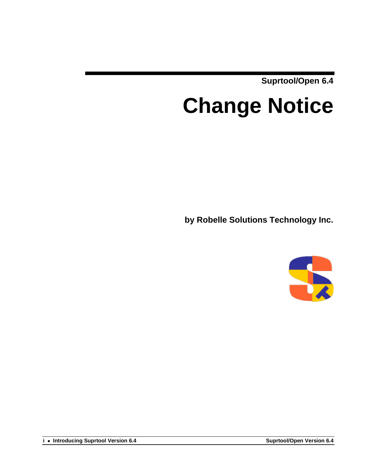**Suprtool/Open 6.4**

# **Change Notice**

**by Robelle Solutions Technology Inc.**



**i** • **Introducing Suprtool Version 6.4 Suprtool/Open Version 6.4**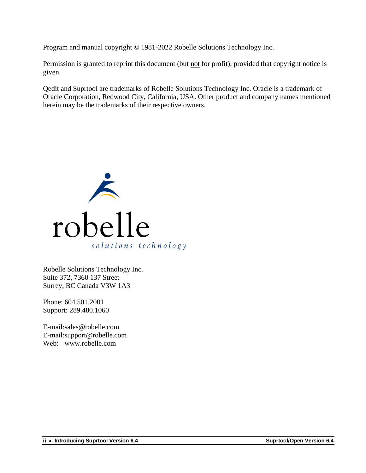Program and manual copyright © 1981-2022 Robelle Solutions Technology Inc.

Permission is granted to reprint this document (but not for profit), provided that copyright notice is given.

Qedit and Suprtool are trademarks of Robelle Solutions Technology Inc. Oracle is a trademark of Oracle Corporation, Redwood City, California, USA. Other product and company names mentioned herein may be the trademarks of their respective owners.



Robelle Solutions Technology Inc. Suite 372, 7360 137 Street Surrey, BC Canada V3W 1A3

Phone: 604.501.2001 Support: 289.480.1060

E-mail:sales@robelle.com E-mail:support@robelle.com Web: www.robelle.com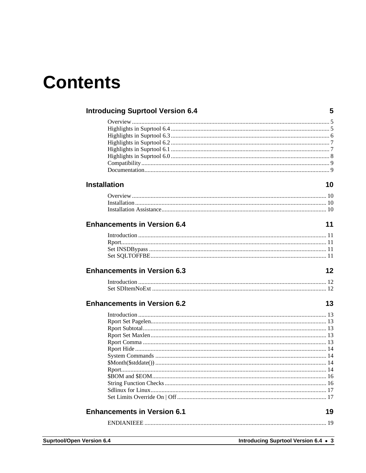## **Contents**

| <b>Introducing Suprtool Version 6.4</b> | 5  |
|-----------------------------------------|----|
|                                         |    |
|                                         |    |
|                                         |    |
|                                         |    |
|                                         |    |
|                                         |    |
|                                         |    |
|                                         |    |
| <b>Installation</b>                     | 10 |
|                                         |    |
|                                         |    |
|                                         |    |
| <b>Enhancements in Version 6.4</b>      | 11 |
|                                         |    |
|                                         |    |
|                                         |    |
|                                         |    |
| <b>Enhancements in Version 6.3</b>      | 12 |
|                                         |    |
|                                         |    |
| <b>Enhancements in Version 6.2</b>      | 13 |
|                                         |    |
|                                         |    |
|                                         |    |
|                                         |    |
|                                         |    |
|                                         |    |
|                                         |    |
|                                         |    |
|                                         |    |
|                                         |    |
|                                         |    |
|                                         |    |
| <b>Enhancements in Version 6.1</b>      | 19 |
|                                         |    |
|                                         |    |
|                                         |    |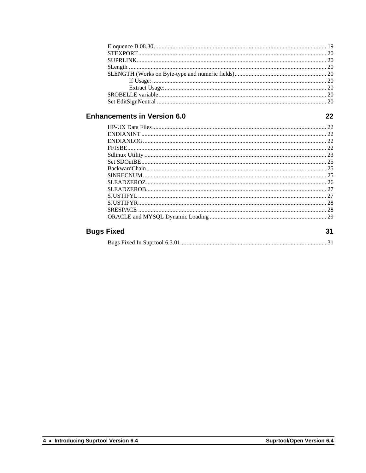| 22 |
|----|
| 22 |
| 22 |
| 22 |
| 23 |
| 25 |
| 25 |
|    |
|    |
|    |
| 27 |
| 28 |
| 28 |
|    |
|    |

#### **Bugs Fixed**

 $22$ 

 $31$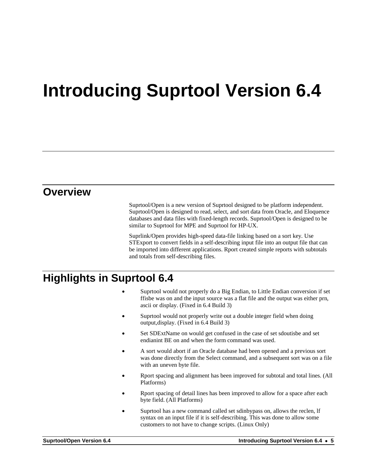## <span id="page-4-0"></span>**Introducing Suprtool Version 6.4**

#### <span id="page-4-2"></span><span id="page-4-1"></span>**Overview**

Suprtool/Open is a new version of Suprtool designed to be platform independent. Suprtool/Open is designed to read, select, and sort data from Oracle, and Eloquence databases and data files with fixed-length records. Suprtool/Open is designed to be similar to Suprtool for MPE and Suprtool for HP-UX.

Suprlink/Open provides high-speed data-file linking based on a sort key. Use STExport to convert fields in a self-describing input file into an output file that can be imported into different applications. Rport created simple reports with subtotals and totals from self-describing files.

- Suprtool would not properly do a Big Endian, to Little Endian conversion if set ffisbe was on and the input source was a flat file and the output was either prn, ascii or display. (Fixed in 6.4 Build 3)
- Suprtool would not properly write out a double integer field when doing output,display. (Fixed in 6.4 Build 3)
- Set SDExtName on would get confused in the case of set sdoutisbe and set endianint BE on and when the form command was used.
- A sort would abort if an Oracle database had been opened and a previous sort was done directly from the Select command, and a subsequent sort was on a file with an uneven byte file.
- Rport spacing and alignment has been improved for subtotal and total lines. (All Platforms)
- Rport spacing of detail lines has been improved to allow for a space after each byte field. (All Platforms)
- Suprtool has a new command called set sdinbypass on, allows the reclen, lf syntax on an input file if it is self-describing. This was done to allow some customers to not have to change scripts. (Linux Only)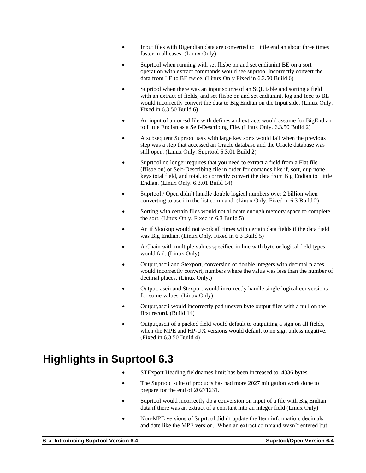- Input files with Bigendian data are converted to Little endian about three times faster in all cases. (Linux Only)
- Suprtool when running with set ffisbe on and set endianint BE on a sort operation with extract commands would see suprtool incorrectly convert the data from LE to BE twice. (Linux Only Fixed in 6.3.50 Build 6)
- Suprtool when there was an input source of an SQL table and sorting a field with an extract of fields, and set ffisbe on and set endianint, log and Ieee to BE would incorrectly convert the data to Big Endian on the Input side. (Linux Only. Fixed in 6.3.50 Build 6)
- An input of a non-sd file with defines and extracts would assume for BigEndian to Little Endian as a Self-Describing File. (Linux Only. 6.3.50 Build 2)
- A subsequent Suprtool task with large key sorts would fail when the previous step was a step that accessed an Oracle database and the Oracle database was still open. (Linux Only. Suprtool 6.3.01 Build 2)
- Suprtool no longer requires that you need to extract a field from a Flat file (ffisbe on) or Self-Describing file in order for comands like if, sort, dup none keys total field, and total, to correctly convert the data from Big Endian to Little Endian. (Linux Only. 6.3.01 Build 14)
- Suprtool / Open didn't handle double logical numbers over 2 billion when converting to ascii in the list command. (Linux Only. Fixed in 6.3 Build 2)
- Sorting with certain files would not allocate enough memory space to complete the sort. (Linux Only. Fixed in 6.3 Build 5)
- An if \$lookup would not work all times with certain data fields if the data field was Big Endian. (Linux Only. Fixed in 6.3 Build 5)
- A Chain with multiple values specified in line with byte or logical field types would fail. (Linux Only)
- Output,ascii and Stexport, conversion of double integers with decimal places would incorrectly convert, numbers where the value was less than the number of decimal places. (Linux Only.)
- Output, ascii and Stexport would incorrectly handle single logical conversions for some values. (Linux Only)
- Output,ascii would incorrectly pad uneven byte output files with a null on the first record. (Build 14)
- <span id="page-5-0"></span>• Output,ascii of a packed field would default to outputting a sign on all fields, when the MPE and HP-UX versions would default to no sign unless negative. (Fixed in 6.3.50 Build 4)

- STExport Heading fieldnames limit has been increased to 14336 bytes.
- The Suprtool suite of products has had more 2027 mitigation work done to prepare for the end of 20271231.
- Suprtool would incorrectly do a conversion on input of a file with Big Endian data if there was an extract of a constant into an integer field (Linux Only)
- Non-MPE versions of Suprtool didn't update the Item information, decimals and date like the MPE version. When an extract command wasn't entered but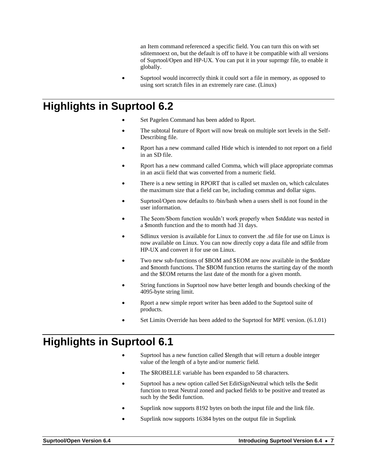an Item command referenced a specific field. You can turn this on with set sditemnoext on, but the default is off to have it be compatible with all versions of Suprtool/Open and HP-UX. You can put it in your suprmgr file, to enable it globally.

Suprtool would incorrectly think it could sort a file in memory, as opposed to using sort scratch files in an extremely rare case. (Linux)

#### <span id="page-6-0"></span>**Highlights in Suprtool 6.2**

- Set Pagelen Command has been added to Rport.
- The subtotal feature of Rport will now break on multiple sort levels in the Self-Describing file.
- Rport has a new command called Hide which is intended to not report on a field in an SD file.
- Rport has a new command called Comma, which will place appropriate commas in an ascii field that was converted from a numeric field.
- There is a new setting in RPORT that is called set maxlen on, which calculates the maximum size that a field can be, including commas and dollar signs.
- Suprtool/Open now defaults to /bin/bash when a users shell is not found in the user information.
- The \$eom/\$bom function wouldn't work properly when \$stddate was nested in a \$month function and the to month had 31 days.
- Sdlinux version is available for Linux to convert the .sd file for use on Linux is now available on Linux. You can now directly copy a data file and sdfile from HP-UX and convert it for use on Linux.
- Two new sub-functions of \$BOM and \$EOM are now available in the \$stddate and \$month functions. The \$BOM function returns the starting day of the month and the \$EOM returns the last date of the month for a given month.
- String functions in Suprtool now have better length and bounds checking of the 4095-byte string limit.
- Rport a new simple report writer has been added to the Suprtool suite of products.
- <span id="page-6-1"></span>Set Limits Override has been added to the Suprtool for MPE version.  $(6.1.01)$

- Suprtool has a new function called \$length that will return a double integer value of the length of a byte and/or numeric field.
- The \$ROBELLE variable has been expanded to 58 characters.
- Suprtool has a new option called Set EditSignNeutral which tells the \$edit function to treat Neutral zoned and packed fields to be positive and treated as such by the \$edit function.
- Suprlink now supports 8192 bytes on both the input file and the link file.
- Suprlink now supports 16384 bytes on the output file in Suprlink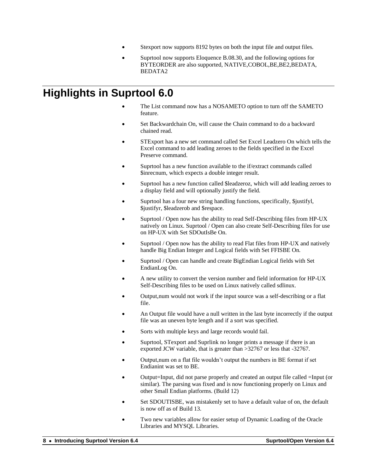- Stexport now supports 8192 bytes on both the input file and output files.
- <span id="page-7-0"></span>• Suprtool now supports Eloquence B.08.30, and the following options for BYTEORDER are also supported, NATIVE,COBOL,BE,BE2,BEDATA, BEDATA2

- The List command now has a NOSAMETO option to turn off the SAMETO feature.
- Set Backwardchain On, will cause the Chain command to do a backward chained read.
- STExport has a new set command called Set Excel Leadzero On which tells the Excel command to add leading zeroes to the fields specified in the Excel Preserve command.
- Suprtool has a new function available to the if/extract commands called \$inrecnum, which expects a double integer result.
- Suprtool has a new function called \$leadzeroz, which will add leading zeroes to a display field and will optionally justify the field.
- Suprtool has a four new string handling functions, specifically, \$justifyl, \$justifyr, \$leadzerob and \$respace.
- Suprtool / Open now has the ability to read Self-Describing files from HP-UX natively on Linux. Suprtool / Open can also create Self-Describing files for use on HP-UX with Set SDOutIsBe On.
- Suprtool / Open now has the ability to read Flat files from HP-UX and natively handle Big Endian Integer and Logical fields with Set FFISBE On.
- Suprtool / Open can handle and create BigEndian Logical fields with Set EndianLog On.
- A new utility to convert the version number and field information for HP-UX Self-Describing files to be used on Linux natively called sdlinux.
- Output,num would not work if the input source was a self-describing or a flat file.
- An Output file would have a null written in the last byte incorrectly if the output file was an uneven byte length and if a sort was specified.
- Sorts with multiple keys and large records would fail.
- Suprtool, STexport and Suprlink no longer prints a message if there is an exported JCW variable, that is greater than >32767 or less that -32767.
- Output,num on a flat file wouldn't output the numbers in BE format if set Endianint was set to BE.
- Output=Input, did not parse properly and created an output file called =Input (or similar). The parsing was fixed and is now functioning properly on Linux and other Small Endian platforms. (Build 12)
- Set SDOUTISBE, was mistakenly set to have a default value of on, the default is now off as of Build 13.
- Two new variables allow for easier setup of Dynamic Loading of the Oracle Libraries and MYSQL Libraries.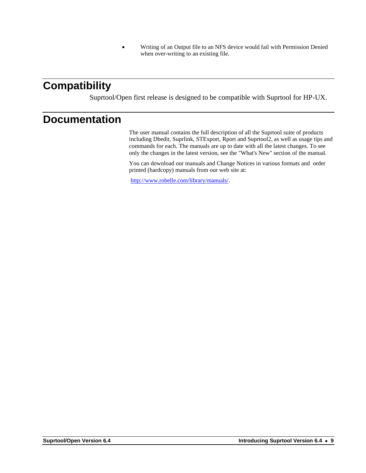• Writing of an Output file to an NFS device would fail with Permission Denied when over-writing to an existing file.

#### <span id="page-8-0"></span>**Compatibility**

Suprtool/Open first release is designed to be compatible with Suprtool for HP-UX.

#### <span id="page-8-1"></span>**Documentation**

The user manual contains the full description of all the Suprtool suite of products including Dbedit, Suprlink, STExport, Rport and Suprtool2, as well as usage tips and commands for each. The manuals are up to date with all the latest changes. To see only the changes in the latest version, see the "What's New" section of the manual.

You can download our manuals and Change Notices in various formats and order printed (hardcopy) manuals from our web site at:

[http://www.robelle.com/library/manuals/.](http://www.robelle.com/library/manuals/)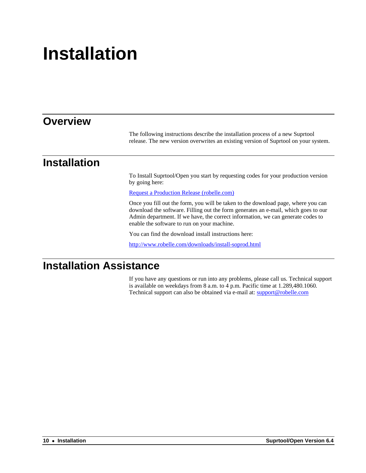## <span id="page-9-0"></span>**Installation**

<span id="page-9-2"></span><span id="page-9-1"></span>

| <b>Overview</b>     |                                                                                                                                                                                                                                                                                                           |
|---------------------|-----------------------------------------------------------------------------------------------------------------------------------------------------------------------------------------------------------------------------------------------------------------------------------------------------------|
|                     | The following instructions describe the installation process of a new Suprtool<br>release. The new version overwrites an existing version of Suprtool on your system.                                                                                                                                     |
| <b>Installation</b> |                                                                                                                                                                                                                                                                                                           |
|                     | To Install Suprtool/Open you start by requesting codes for your production version<br>by going here:                                                                                                                                                                                                      |
|                     | <b>Request a Production Release (robelle.com)</b>                                                                                                                                                                                                                                                         |
|                     | Once you fill out the form, you will be taken to the download page, where you can<br>download the software. Filling out the form generates an e-mail, which goes to our<br>Admin department. If we have, the correct information, we can generate codes to<br>enable the software to run on your machine. |
|                     | You can find the download install instructions here:                                                                                                                                                                                                                                                      |
|                     | http://www.robelle.com/downloads/install-soprod.html                                                                                                                                                                                                                                                      |

## <span id="page-9-3"></span>**Installation Assistance**

If you have any questions or run into any problems, please call us. Technical support is available on weekdays from 8 a.m. to 4 p.m. Pacific time at 1.289,480.1060. Technical support can also be obtained via e-mail at: support@robelle.com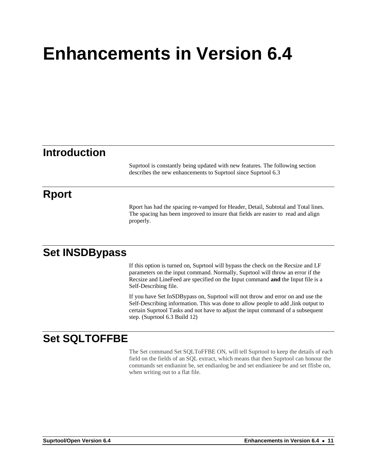#### <span id="page-10-1"></span><span id="page-10-0"></span>**Introduction**

Suprtool is constantly being updated with new features. The following section describes the new enhancements to Suprtool since Suprtool 6.3

#### <span id="page-10-2"></span>**Rport**

Rport has had the spacing re-vamped for Header, Detail, Subtotal and Total lines. The spacing has been improved to insure that fields are easier to read and align properly.

#### <span id="page-10-3"></span>**Set INSDBypass**

If this option is turned on, Suprtool will bypass the check on the Recsize and LF parameters on the input command. Normally, Suprtool will throw an error if the Recsize and LineFeed are specified on the Input command **and** the Input file is a Self-Describing file.

If you have Set InSDBypass on, Suprtool will not throw and error on and use the Self-Describing information. This was done to allow people to add ,link output to certain Suprtool Tasks and not have to adjust the input command of a subsequent step. (Suprtool 6.3 Build 12)

#### <span id="page-10-4"></span>**Set SQLTOFFBE**

The Set command Set SQLToFFBE ON, will tell Suprtool to keep the details of each field on the fields of an SQL extract, which means that then Suprtool can honour the commands set endianint be, set endianlog be and set endianieee be and set ffisbe on, when writing out to a flat file.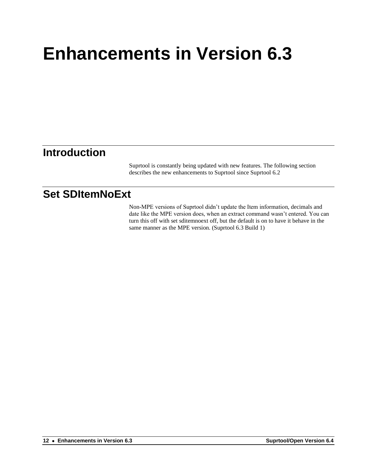#### <span id="page-11-1"></span><span id="page-11-0"></span>**Introduction**

Suprtool is constantly being updated with new features. The following section describes the new enhancements to Suprtool since Suprtool 6.2

### <span id="page-11-2"></span>**Set SDItemNoExt**

Non-MPE versions of Suprtool didn't update the Item information, decimals and date like the MPE version does, when an extract command wasn't entered. You can turn this off with set sditemnoext off, but the default is on to have it behave in the same manner as the MPE version. (Suprtool 6.3 Build 1)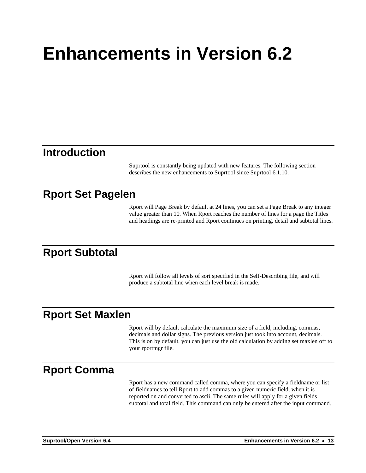#### <span id="page-12-1"></span><span id="page-12-0"></span>**Introduction**

Suprtool is constantly being updated with new features. The following section describes the new enhancements to Suprtool since Suprtool 6.1.10.

#### <span id="page-12-2"></span>**Rport Set Pagelen**

Rport will Page Break by default at 24 lines, you can set a Page Break to any integer value greater than 10. When Rport reaches the number of lines for a page the Titles and headings are re-printed and Rport continues on printing, detail and subtotal lines.

#### <span id="page-12-3"></span>**Rport Subtotal**

Rport will follow all levels of sort specified in the Self-Describing file, and will produce a subtotal line when each level break is made.

#### <span id="page-12-4"></span>**Rport Set Maxlen**

Rport will by default calculate the maximum size of a field, including, commas, decimals and dollar signs. The previous version just took into account, decimals. This is on by default, you can just use the old calculation by adding set maxlen off to your rportmgr file.

#### <span id="page-12-5"></span>**Rport Comma**

Rport has a new command called comma, where you can specify a fieldname or list of fieldnames to tell Rport to add commas to a given numeric field, when it is reported on and converted to ascii. The same rules will apply for a given fields subtotal and total field. This command can only be entered after the input command.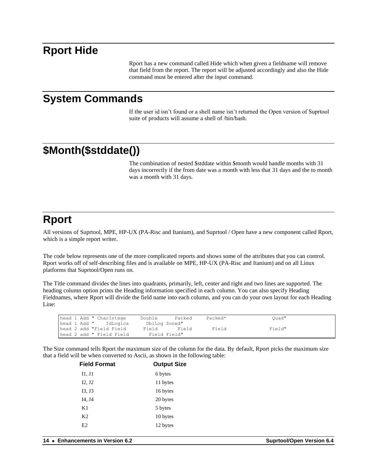#### <span id="page-13-0"></span>**Rport Hide**

Rport has a new command called Hide which when given a fieldname will remove that field from the report. The report will be adjusted accordingly and also the Hide command must be entered after the input command.

#### <span id="page-13-1"></span>**System Commands**

If the user id isn't found or a shell name isn't returned the Open version of Suprtool suite of products will assume a shell of /bin/bash.

### <span id="page-13-2"></span>**\$Month(\$stddate())**

The combination of nested \$stddate within \$month would handle months with 31 days incorrectly if the from date was a month with less that 31 days and the to month was a month with 31 days.

#### <span id="page-13-3"></span>**Rport**

All versions of Suprtool, MPE, HP-UX (PA-Risc and Itanium), and Suprtool / Open have a new component called Rport, which is a simple report writer.

The code below represents one of the more complicated reports and shows some of the attributes that you can control. Rport works off of self-describing files and is available on MPE, HP-UX (PA-Risc and Itanium) and on all Linux platforms that Suprtool/Open runs on.

The Title command divides the lines into quadrants, primarily, left, center and right and two lines are supported. The heading column option prints the Heading information specified in each column. You can also specify Heading Fieldnames, where Rport will divide the field name into each column, and you can do your own layout for each Heading Line:

| head 1 Add " CharIntege  | Double<br>Packed | Packed* | Ouad"  |
|--------------------------|------------------|---------|--------|
| head 1 Add " IdLogica    | DblLog Zoned"    |         |        |
| head 2 add "Field Field  | Field<br>Field   | Field   | Field" |
| head 2 add " Field Field | Field Field"     |         |        |

The Size command tells Rport the maximum size of the column for the data. By default, Rport picks the maximum size that a field will be when converted to Ascii, as shown in the following table:

| <b>Field Format</b> | <b>Output Size</b> |
|---------------------|--------------------|
| I1, J1              | 6 bytes            |
| I2, J2              | 11 bytes           |
| I3, J3              | 16 bytes           |
| I4, J4              | 20 bytes           |
| K1                  | 5 bytes            |
| K <sub>2</sub>      | 10 bytes           |
| E2                  | 12 bytes           |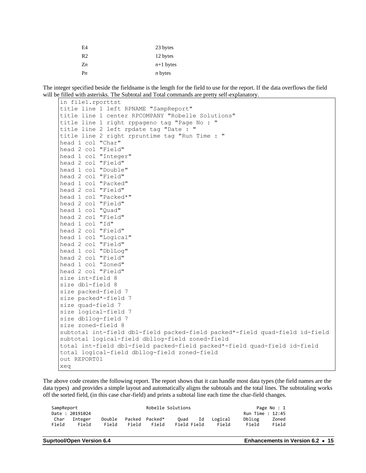| E4             | 23 bytes       |
|----------------|----------------|
| R <sub>2</sub> | 12 bytes       |
| $Z_n$          | $n+1$ bytes    |
| P <sub>n</sub> | <i>n</i> bytes |

The integer specified beside the fieldname is the length for the field to use for the report. If the data overflows the field will be filled with asterisks. The Subtotal and Total commands are pretty self-explanatory.

```
in file1.rporttst
title line 1 left RPNAME "SampReport"
title line 1 center RPCOMPANY "Robelle Solutions"
title line 1 right rppageno tag "Page No : "
title line 2 left rpdate tag "Date : " 
title line 2 right rpruntime tag "Run Time : "
head 1 col "Char"
head 2 col "Field"
head 1 col "Integer"
head 2 col "Field"
head 1 col "Double"
head 2 col "Field"
head 1 col "Packed"
head 2 col "Field"
head 1 col "Packed*"
head 2 col "Field"
head 1 col "Quad"
head 2 col "Field"
head 1 col "Id"
head 2 col "Field"
head 1 col "Logical"
head 2 col "Field"
head 1 col "DblLog"
head 2 col "Field"
head 1 col "Zoned"
head 2 col "Field"
size int-field 8
size dbl-field 8
size packed-field 7
size packed*-field 7
size quad-field 7
size logical-field 7
size dbllog-field 7
size zoned-field 8
subtotal int-field dbl-field packed-field packed*-field quad-field id-field
subtotal logical-field dbllog-field zoned-field
total int-field dbl-field packed-field packed*-field quad-field id-field
total logical-field dbllog-field zoned-field
out REPORT01
xeq
```
The above code creates the following report. The report shows that it can handle most data types (the field names are the data types) and provides a simple layout and automatically aligns the subtotals and the total lines. The subtotaling works off the sorted field, (in this case char-field) and prints a subtotal line each time the char-field changes.

| SampReport |                |        |       | Robelle Solutions |      |             |         | Page No : 1      |       |
|------------|----------------|--------|-------|-------------------|------|-------------|---------|------------------|-------|
|            | Date: 20191024 |        |       |                   |      |             |         | Run Time : 12:45 |       |
| Char       | Integer        | Double |       | Packed Packed*    | Ouad | Ιd          | Logical | DblLog           | Zoned |
| Field      | Field          | Field  | Field | Field             |      | Field Field | Field   | Field            | Field |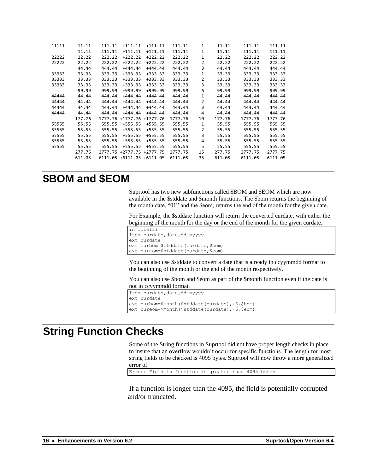| 11111 | 11.11  | 111.11  | $+111.11$         | $+111.11$  | 111.11  | 1              | 11.11  | 111.11  | 111.11  |
|-------|--------|---------|-------------------|------------|---------|----------------|--------|---------|---------|
|       | 11.11  | 111.11  | $+111.11$         | $+111.11$  | 111.11  | 1              | 11.11  | 111.11  | 111.11  |
| 22222 | 22.22  | 222.22  | $+222.22$         | $+222.22$  | 222.22  | $\mathbf{1}$   | 22.22  | 222.22  | 222.22  |
| 22222 | 22.22  | 222.22  | $+222.22$         | $+222.22$  | 222.22  | 2              | 22.22  | 222.22  | 222.22  |
|       | 44.44  | 444.44  | $+444.44$         | $+444.44$  | 444.44  | 3              | 44.44  | 444.44  | 444.44  |
| 33333 | 33.33  | 333.33  | $+333.33$         | $+333.33$  | 333.33  | $\mathbf{1}$   | 33.33  | 333.33  | 333.33  |
| 33333 | 33.33  | 333.33  | $+333.33$         | $+333.33$  | 333.33  | $\overline{2}$ | 33.33  | 333.33  | 333.33  |
| 33333 | 33.33  | 333.33  | $+333.33$         | $+333.33$  | 333.33  | 3              | 33.33  | 333.33  | 333.33  |
|       | 99.99  | 999.99  | $+999.99$         | $+999.99$  | 999.99  | 6              | 99.99  | 999.99  | 999.99  |
| 44444 | 44.44  | 444.44  | $+444.44$         | $+444.44$  | 444.44  | $\mathbf{1}$   | 44.44  | 444.44  | 444.44  |
| 44444 | 44.44  | 444.44  | $+444.44$         | $+444.44$  | 444.44  | 2              | 44.44  | 444.44  | 444.44  |
| 44444 | 44.44  | 444.44  | $+444.44$         | $+444.44$  | 444.44  | 3              | 44.44  | 444.44  | 444.44  |
| 44444 | 44.44  | 444.44  | $+444.44$         | $+444.44$  | 444.44  | 4              | 44.44  | 444.44  | 444.44  |
|       | 177.76 | 1777.76 | +1777.76          | +1777.76   | 1777.76 | 10             | 177.76 | 1777.76 | 1777.76 |
| 55555 | 55.55  | 555.55  | $+555.55$         | +555.55    | 555.55  | $\mathbf{1}$   | 55.55  | 555.55  | 555.55  |
| 55555 | 55.55  | 555.55  | $+555.55$         | $+555.55$  | 555.55  | $\overline{2}$ | 55.55  | 555.55  | 555.55  |
| 55555 | 55.55  | 555.55  | $+555.55$         | $+555.55$  | 555.55  | 3              | 55.55  | 555.55  | 555.55  |
| 55555 | 55.55  | 555.55  | $+555.55$         | $+555.55$  | 555.55  | 4              | 55.55  | 555.55  | 555.55  |
| 55555 | 55.55  | 555.55  | $+555.55$         | $+555.55$  | 555.55  | 5              | 55.55  | 555.55  | 555.55  |
|       | 277.75 | 2777.75 | +2777.75 +2777.75 |            | 2777.75 | 15             | 277.75 | 2777.75 | 2777.75 |
|       | 611.05 | 6111.05 | $+6111.05$        | $+6111.05$ | 6111.05 | 35             | 611.05 | 6111.05 | 6111.05 |
|       |        |         |                   |            |         |                |        |         |         |

#### <span id="page-15-0"></span>**\$BOM and \$EOM**

Suprtool has two new subfunctions called \$BOM and \$EOM which are now available in the \$stddate and \$month functions. The \$bom returns the beginning of the month date, "01" and the \$eom, returns the end of the month for the given date.

For Example, the \$stddate function will return the converted curdate, with either the beginning of the month for the day or the end of the month for the given curdate.

```
in file131
item curdate, date, ddmmyyyy
ext curdate
ext curbom=$stddate(curdate,$bom)
ext cureom=$stddate(curdate, $eom)
```
You can also use \$stddate to convert a date that is already in ccyymmdd format to the beginning of the month or the end of the month respectively.

You can also use \$bom and \$eom as part of the \$month function even if the date is not in ccyymmdd format.

```
Item curdate, date, ddmmyyyy
ext curdate
ext curbom=$month($stddate(curdate), +6, $bom)
ext cureom=$month($stddate(curdate), +6, $eom)
```
#### <span id="page-15-1"></span>**String Function Checks**

Some of the String functions in Suprtool did not have proper length checks in place to insure that an overflow wouldn't occur for specific functions. The length for most string fields to be checked is 4095 bytes. Suprtool will now throw a more generalized error of:

Error: Field in function is greater than 4095 bytes

If a function is longer than the 4095, the field is potentially corrupted and/or truncated.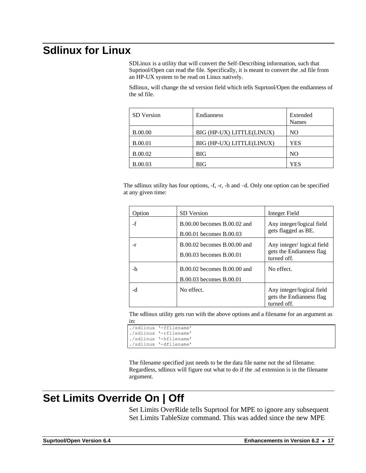#### <span id="page-16-0"></span>**Sdlinux for Linux**

SDLinux is a utility that will convert the Self-Describing information, such that Suprtool/Open can read the file. Specifically, it is meant to convert the .sd file from an HP-UX system to be read on Linux natively.

Sdlinux, will change the sd version field which tells Suprtool/Open the endianness of the sd file.

| SD Version     | <b>Endianness</b>         | Extended<br><b>Names</b> |
|----------------|---------------------------|--------------------------|
| <b>B.00.00</b> | BIG (HP-UX) LITTLE(LINUX) | NO.                      |
| <b>B.00.01</b> | BIG (HP-UX) LITTLE(LINUX) | YES                      |
| <b>B.00.02</b> | BIG                       | N <sub>O</sub>           |
| <b>B.00.03</b> | BIG                       | YES                      |

The sdlinux utility has four options, -f, -r, -h and –d. Only one option can be specified at any given time:

| Option | <b>SD</b> Version                                          | Integer Field                                                        |
|--------|------------------------------------------------------------|----------------------------------------------------------------------|
| $-f$   | B.00.00 becomes B.00.02 and<br>B.00.01 becomes B.00.03     | Any integer/logical field<br>gets flagged as BE.                     |
| -r     | B.00.02 becomes B.00.00 and<br>B.00.03 becomes B.00.01     | Any integer/logical field<br>gets the Endianness flag<br>turned off. |
| -h     | $B.00.02$ becomes $B.00.00$ and<br>B.00.03 becomes B.00.01 | No effect.                                                           |
| -d     | No effect.                                                 | Any integer/logical field<br>gets the Endianness flag<br>turned off. |

The sdlinux utility gets run with the above options and a filename for an argument as in:

./sdlinux '-ffilename' ./sdlinux '-rfilename' ./sdlinux '-hfilename' ./sdlinux '-dfilename'

The filename specified just needs to be the data file name not the sd filename. Regardless, sdlinux will figure out what to do if the .sd extension is in the filename argument.

#### <span id="page-16-1"></span>**Set Limits Override On | Off**

Set Limits OverRide tells Suprtool for MPE to ignore any subsequent Set Limits TableSize command. This was added since the new MPE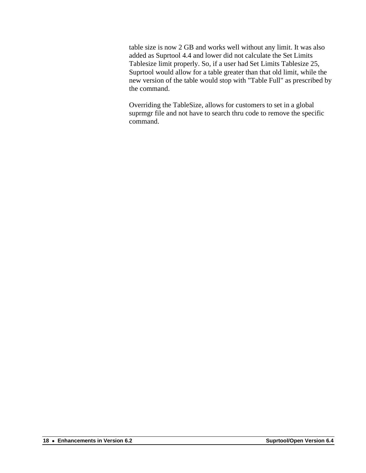table size is now 2 GB and works well without any limit. It was also added as Suprtool 4.4 and lower did not calculate the Set Limits Tablesize limit properly. So, if a user had Set Limits Tablesize 25, Suprtool would allow for a table greater than that old limit, while the new version of the table would stop with "Table Full" as prescribed by the command.

Overriding the TableSize, allows for customers to set in a global suprmgr file and not have to search thru code to remove the specific command.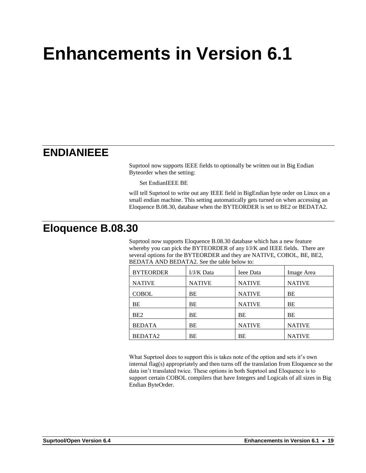#### <span id="page-18-1"></span><span id="page-18-0"></span>**ENDIANIEEE**

Suprtool now supports IEEE fields to optionally be written out in Big Endian Byteorder when the setting:

Set EndianIEEE BE

will tell Suprtool to write out any IEEE field in BigEndian byte order on Linux on a small endian machine. This setting automatically gets turned on when accessing an Eloquence B.08.30, database when the BYTEORDER is set to BE2 or BEDATA2.

#### <span id="page-18-2"></span>**Eloquence B.08.30**

Suprtool now supports Eloquence B.08.30 database which has a new feature whereby you can pick the BYTEORDER of any I/J/K and IEEE fields. There are several options for the BYTEORDER and they are NATIVE, COBOL, BE, BE2, BEDATA AND BEDATA2. See the table below to:

| <b>BYTEORDER</b>    | I/J/K Data    | <b>Ieee Data</b> | Image Area    |
|---------------------|---------------|------------------|---------------|
| <b>NATIVE</b>       | <b>NATIVE</b> | <b>NATIVE</b>    | <b>NATIVE</b> |
| <b>COBOL</b>        | BE            | <b>NATIVE</b>    | BE            |
| BE                  | BE            | <b>NATIVE</b>    | BE            |
| BE <sub>2</sub>     | BE            | ВE               | BE            |
| <b>BEDATA</b>       | BE            | <b>NATIVE</b>    | <b>NATIVE</b> |
| BEDATA <sub>2</sub> | BE            | BE               | <b>NATIVE</b> |

What Suprtool does to support this is takes note of the option and sets it's own internal flag(s) appropriately and then turns off the translation from Eloquence so the data isn't translated twice. These options in both Suprtool and Eloquence is to support certain COBOL compilers that have Integers and Logicals of all sizes in Big Endian ByteOrder.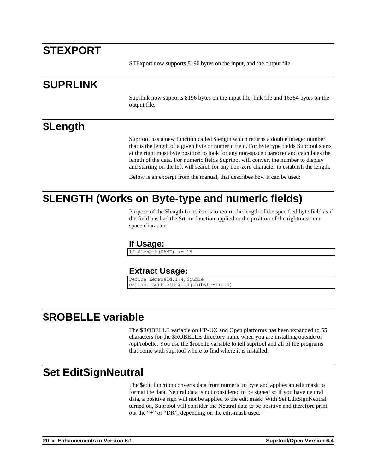#### <span id="page-19-0"></span>**STEXPORT**

STExport now supports 8196 bytes on the input, and the output file.

#### <span id="page-19-1"></span>**SUPRLINK**

Suprlink now supports 8196 bytes on the input file, link file and 16384 bytes on the output file.

#### <span id="page-19-2"></span>**\$Length**

Suprtool has a new function called \$length which returns a double integer number that is the length of a given byte or numeric field. For byte type fields Suprtool starts at the right most byte position to look for any non-space character and calculates the length of the data. For numeric fields Suprtool will convert the number to display and starting on the left will search for any non-zero character to establish the length.

Below is an excerpt from the manual, that describes how it can be used:

#### <span id="page-19-4"></span><span id="page-19-3"></span>**\$LENGTH (Works on Byte-type and numeric fields)**

Purpose of the \$length frunction is to return the length of the specified byte field as if the field has had the \$rtrim function applied or the position of the rightmost nonspace character.

#### **If Usage:**

if \$length(NAME) >= 15

#### **Extract Usage:**

Define LenField,1,4,double extract LenField=\$length(byte-field)

#### <span id="page-19-6"></span><span id="page-19-5"></span>**\$ROBELLE variable**

The \$ROBELLE variable on HP-UX and Open platforms has been expanded to 55 characters for the \$ROBELLE directory name when you are installing outside of /opt/robelle. You use the \$robelle variable to tell suprtool and all of the programs that come with suprtool where to find where it is installed.

#### <span id="page-19-7"></span>**Set EditSignNeutral**

The \$edit function converts data from numeric to byte and applies an edit mask to format the data. Neutral data is not considered to be signed so if you have neutral data, a positive sign will not be applied to the edit mask. With Set EditSignNeutral turned on, Suprtool will consider the Neutral data to be positive and therefore print out the "+" or "DR", depending on the edit-mask used.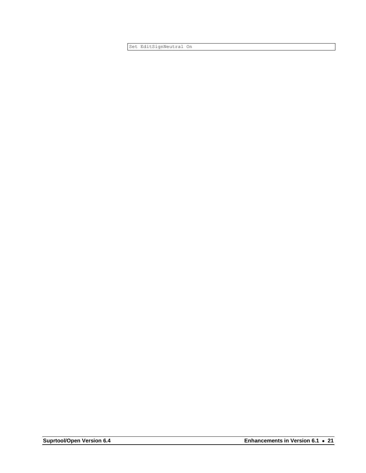Set EditSignNeutral On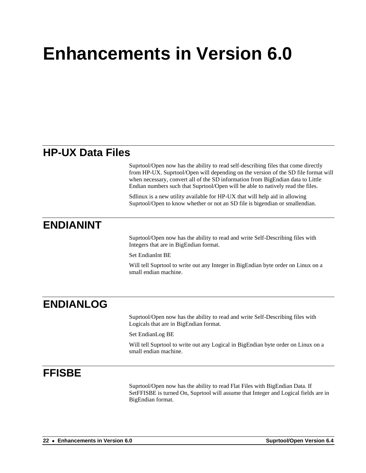#### <span id="page-21-1"></span><span id="page-21-0"></span>**HP-UX Data Files**

Suprtool/Open now has the ability to read self-describing files that come directly from HP-UX. Suprtool/Open will depending on the version of the SD file format will when necessary, convert all of the SD information from BigEndian data to Little Endian numbers such that Suprtool/Open will be able to natively read the files.

Sdlinux is a new utility available for HP-UX that will help aid in allowing Suprtool/Open to know whether or not an SD file is bigendian or smallendian.

#### <span id="page-21-2"></span>**ENDIANINT**

Suprtool/Open now has the ability to read and write Self-Describing files with Integers that are in BigEndian format.

Set EndianInt BE

Will tell Suprtool to write out any Integer in BigEndian byte order on Linux on a small endian machine.

### <span id="page-21-3"></span>**ENDIANLOG**

Suprtool/Open now has the ability to read and write Self-Describing files with Logicals that are in BigEndian format.

Set EndianLog BE

Will tell Suprtool to write out any Logical in BigEndian byte order on Linux on a small endian machine.

#### <span id="page-21-4"></span>**FFISBE**

Suprtool/Open now has the ability to read Flat Files with BigEndian Data. If SetFFISBE is turned On, Suprtool will assume that Integer and Logical fields are in BigEndian format.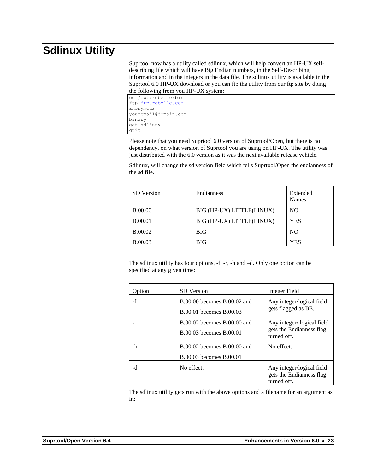### <span id="page-22-0"></span>**Sdlinux Utility**

Suprtool now has a utility called sdlinux, which will help convert an HP-UX selfdescribing file which will have Big Endian numbers, in the Self-Describing information and in the integers in the data file. The sdlinux utility is available in the Suprtool 6.0 HP-UX download or you can ftp the utility from our ftp site by doing the following from you HP-UX system:

cd /opt/robelle/bin ftp [ftp.robelle.com](ftp://ftp.robelle.com/) anonymous youremail@domain.com binary get sdlinux quit

Please note that you need Suprtool 6.0 version of Suprtool/Open, but there is no dependency, on what version of Suprtool you are using on HP-UX. The utility was just distributed with the 6.0 version as it was the next available release vehicle.

Sdlinux, will change the sd version field which tells Suprtool/Open the endianness of the sd file.

| <b>SD</b> Version | Endianness                | Extended<br><b>Names</b> |
|-------------------|---------------------------|--------------------------|
| <b>B.00.00</b>    | BIG (HP-UX) LITTLE(LINUX) | NO                       |
| <b>B.00.01</b>    | BIG (HP-UX) LITTLE(LINUX) | YES                      |
| <b>B.00.02</b>    | BIG                       | NO.                      |
| <b>B.00.03</b>    | BIG                       | <b>YES</b>               |

The sdlinux utility has four options, -f, -r, -h and –d. Only one option can be specified at any given time:

| Option | <b>SD</b> Version                                      | <b>Integer Field</b>                                                 |
|--------|--------------------------------------------------------|----------------------------------------------------------------------|
| $-f$   | B.00.00 becomes B.00.02 and<br>B.00.01 becomes B.00.03 | Any integer/logical field<br>gets flagged as BE.                     |
| -r     | B.00.02 becomes B.00.00 and<br>B.00.03 becomes B.00.01 | Any integer/logical field<br>gets the Endianness flag<br>turned off. |
| -h     | B.00.02 becomes B.00.00 and<br>B.00.03 becomes B.00.01 | No effect.                                                           |
| -d     | No effect.                                             | Any integer/logical field<br>gets the Endianness flag<br>turned off. |

The sdlinux utility gets run with the above options and a filename for an argument as in: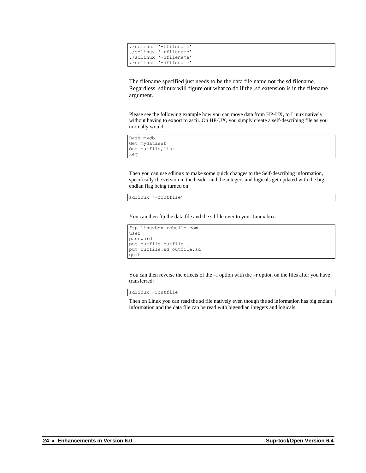| ./sdlinux '-ffilename' |
|------------------------|
| ./sdlinux '-rfilename' |
| ./sdlinux '-hfilename' |
| ./sdlinux '-dfilename' |
|                        |

The filename specified just needs to be the data file name not the sd filename. Regardless, sdlinux will figure out what to do if the .sd extension is in the filename argument.

Please see the following example how you can move data from HP-UX, to Linux natively without having to export to ascii. On HP-UX, you simply create a self-describing file as you normally would:

```
Base mydb
Get mydataset
Out outfile, link
Xeq
```
Then you can use sdlinux to make some quick changes to the Self-describing information, specifically the version in the header and the integers and logicals get updated with the big endian flag being turned on:

sdlinux '-foutfile'

You can then ftp the data file and the sd file over to your Linux box:

```
ftp linuxbox.robelle.com
user
password
put outfile outfile
put outfile.sd outfile.sd
quit
```
You can then reverse the effects of the –f option with the –r option on the files after you have transferred:

sdlinux -routfile

Then on Linux you can read the sd file natively even though the sd information has big endian information and the data file can be read with bigendian integers and logicals.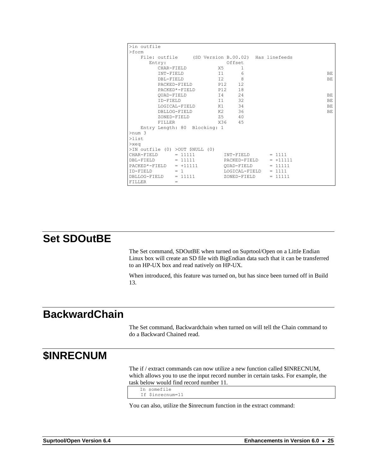| >in outfile                                      |                   |            |                      |            |     |
|--------------------------------------------------|-------------------|------------|----------------------|------------|-----|
| $>$ form                                         |                   |            |                      |            |     |
| File: outfile (SD Version B.00.02) Has linefeeds |                   |            |                      |            |     |
| Entry:                                           |                   |            | Offset               |            |     |
| CHAR-FIELD                                       |                   | X5         | 1                    |            |     |
| TNT-FTELD                                        |                   | I1         | 6                    |            | BE. |
| DBL-FIELD                                        |                   | I2         | 8                    |            | BE. |
|                                                  | PACKED-FIELD      | <b>P12</b> | 12                   |            |     |
|                                                  | PACKED*-FIELD P12 |            | 18                   |            |     |
| OUAD-FIELD                                       |                   | I4         | 24                   |            | BE. |
| TD-FIELD                                         |                   | 11         | 32                   |            | BE. |
|                                                  | LOGICAL-FIELD K1  |            | 34                   |            | BE. |
| DBLLOG-FIELD                                     |                   | K2         | 36                   |            | BF. |
| ZONED-FIELD                                      |                   | Z5         | -40                  |            |     |
| <b>FTLLER</b>                                    |                   | X36 -      | 45                   |            |     |
| Entry Length: 80 Blocking: 1                     |                   |            |                      |            |     |
| $>$ num 3                                        |                   |            |                      |            |     |
| $>$ list                                         |                   |            |                      |            |     |
| $>$ xeq                                          |                   |            |                      |            |     |
| >IN outfile (0) >OUT \$NULL (0)                  |                   |            |                      |            |     |
| CHAR-FIELD                                       | $= 11111$         |            | $INT - FTRID = 1111$ |            |     |
| $DBL-FIELD$ = 11111                              |                   |            | PACKED-FIELD         | $= +11111$ |     |
| $PACKED*-FIELD = +11111$                         |                   |            | OUAD-FIELD           | $= 11111$  |     |
| $ID-FIELD = 1$                                   |                   |            | LOGICAL-FIELD        | $= 1111$   |     |
| $DBLLOG-FIELD$ = 11111                           |                   |            | ZONED-FIELD          | $= 11111$  |     |
| <b>FILLER</b><br>$=$                             |                   |            |                      |            |     |

### <span id="page-24-0"></span>**Set SDOutBE**

The Set command, SDOutBE when turned on Suprtool/Open on a Little Endian Linux box will create an SD file with BigEndian data such that it can be transferred to an HP-UX box and read natively on HP-UX.

When introduced, this feature was turned on, but has since been turned off in Build 13.

#### <span id="page-24-1"></span>**BackwardChain**

The Set command, Backwardchain when turned on will tell the Chain command to do a Backward Chained read.

#### <span id="page-24-2"></span>**\$INRECNUM**

The if / extract commands can now utilize a new function called \$INRECNUM, which allows you to use the input record number in certain tasks. For example, the task below would find record number 11.

```
In somefile
 If $inrecnum=11
```
You can also, utilize the \$inrecnum function in the extract command: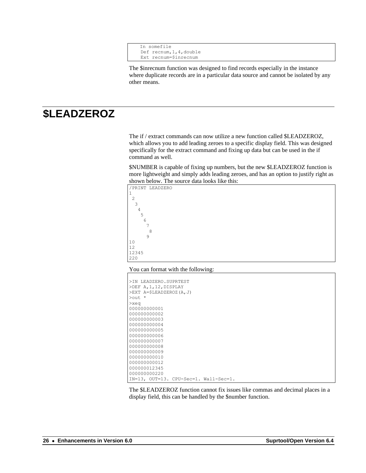```
In somefile
 Def recnum,1,4,double
 Ext recnum=$inrecnum
```
The \$inrecnum function was designed to find records especially in the instance where duplicate records are in a particular data source and cannot be isolated by any other means.

### <span id="page-25-0"></span>**\$LEADZEROZ**

The if / extract commands can now utilize a new function called \$LEADZEROZ, which allows you to add leading zeroes to a specific display field. This was designed specifically for the extract command and fixing up data but can be used in the if command as well.

\$NUMBER is capable of fixing up numbers, but the new \$LEADZEROZ function is more lightweight and simply adds leading zeroes, and has an option to justify right as shown below. The source data looks like this:



You can format with the following: Г

| >IN LEADZERO.SUPRTEST                 |
|---------------------------------------|
| >DEF A, 1, 12, DISPLAY                |
| >EXT A=\$LEADZEROZ(A,J)               |
| $\star$<br>$>$ $\circ$ ut.            |
| >xea                                  |
| 000000000001                          |
| 000000000002                          |
| 000000000003                          |
| 000000000004                          |
| 000000000005                          |
| 000000000006                          |
| 000000000007                          |
| 000000000008                          |
| 000000000009                          |
| 000000000010                          |
| 000000000012                          |
| 000000012345                          |
| 000000000220                          |
| IN=13, OUT=13. CPU-Sec=1. Wall-Sec=1. |

The \$LEADZEROZ function cannot fix issues like commas and decimal places in a display field, this can be handled by the \$number function.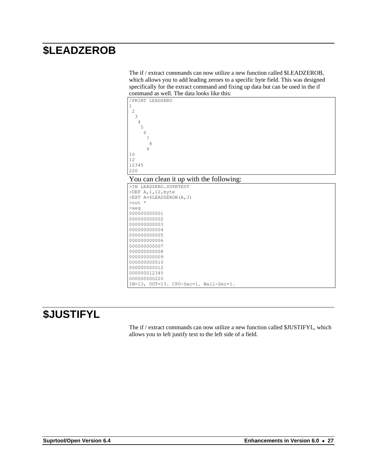### <span id="page-26-0"></span>**\$LEADZEROB**

The if / extract commands can now utilize a new function called \$LEADZEROB, which allows you to add leading zeroes to a specific byte field. This was designed specifically for the extract command and fixing up data but can be used in the if command as well. The data looks like this:





| >IN LEADZERO.SUPRTEST                 |  |
|---------------------------------------|--|
| $>$ DEF A, 1, 12, byte                |  |
| >EXT A=\$LEADZEROB(A,J)               |  |
| $\text{Out}$ *                        |  |
| $>$ xeq                               |  |
| 000000000001                          |  |
| 000000000002                          |  |
| 000000000003                          |  |
| 000000000004                          |  |
| 000000000005                          |  |
| 000000000006                          |  |
| 000000000007                          |  |
| 000000000008                          |  |
| 000000000009                          |  |
| 000000000010                          |  |
| 000000000012                          |  |
| 000000012345                          |  |
| 000000000220                          |  |
| IN=13, OUT=13. CPU-Sec=1. Wall-Sec=1. |  |

### <span id="page-26-1"></span>**\$JUSTIFYL**

The if / extract commands can now utilize a new function called \$JUSTIFYL, which allows you to left justify text to the left side of a field.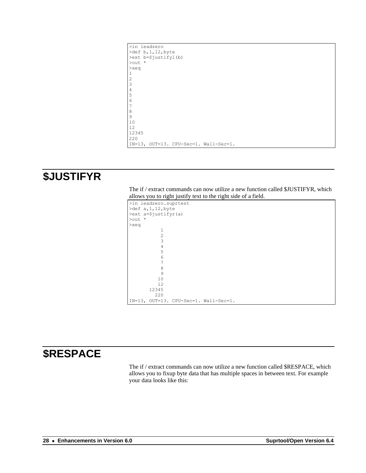| >in leadzero                          |
|---------------------------------------|
| $\text{def } b, 1, 12, \text{byte}$   |
| >ext b=\$justifyl(b)                  |
| $\text{Out}$ *                        |
| $>$ xeq                               |
|                                       |
| $\overline{c}$                        |
| $\mathcal{E}$                         |
| $\overline{4}$                        |
| 5                                     |
| 6                                     |
| 7                                     |
| 8                                     |
| 9                                     |
| 10                                    |
| 12                                    |
| 12345                                 |
| 220                                   |
|                                       |
| IN=13, OUT=13. CPU-Sec=1. Wall-Sec=1. |

### <span id="page-27-0"></span>**\$JUSTIFYR**

The if / extract commands can now utilize a new function called \$JUSTIFYR, which allows you to right justify text to the right side of a field.

|         | >in leadzero.suprtest  |                                       |  |  |
|---------|------------------------|---------------------------------------|--|--|
|         | >def $a, 1, 12$ , byte |                                       |  |  |
|         | >ext a=\$justifyr(a)   |                                       |  |  |
| >out *  |                        |                                       |  |  |
| $>$ xeq |                        |                                       |  |  |
|         | 1                      |                                       |  |  |
|         | $\overline{2}$         |                                       |  |  |
|         | 3                      |                                       |  |  |
|         | $\overline{4}$         |                                       |  |  |
|         | 5                      |                                       |  |  |
|         | 6                      |                                       |  |  |
|         | 7                      |                                       |  |  |
|         | 8                      |                                       |  |  |
|         | 9                      |                                       |  |  |
|         | 10                     |                                       |  |  |
|         | 12                     |                                       |  |  |
|         | 12345                  |                                       |  |  |
|         | 220                    |                                       |  |  |
|         |                        | IN=13, OUT=13. CPU-Sec=1. Wall-Sec=1. |  |  |

### <span id="page-27-1"></span>**\$RESPACE**

The if / extract commands can now utilize a new function called \$RESPACE, which allows you to fixup byte data that has multiple spaces in between text. For example your data looks like this: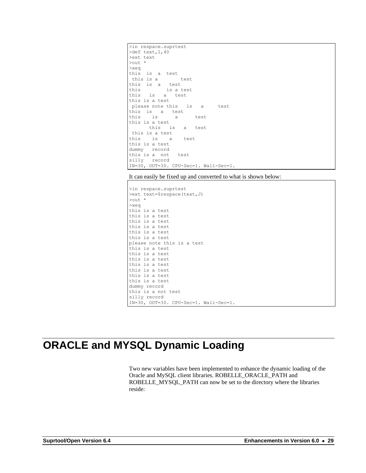```
>in respace.suprtest
>def text,1,40
>ext text
>out *
>xeq
this is a test
 this is a test
this is a test
this is a test
this is a test
this is a test
please note this is a test
this is a test
this is a test
this is a test
      this is a test
this is a test
this is a test
this is a test
dummy record
this is a not test
silly record
IN=30, OUT=30. CPU-Sec=1. Wall-Sec=1.
```
It can easily be fixed up and converted to what is shown below:

>in respace.suprtest >ext text=\$respace(text,J) >out \* >xeq this is a test this is a test this is a test this is a test this is a test this is a test please note this is a test this is a test this is a test this is a test this is a test this is a test this is a test this is a test dummy record this is a not test silly record IN=30, OUT=30. CPU-Sec=1. Wall-Sec=1.

### <span id="page-28-0"></span>**ORACLE and MYSQL Dynamic Loading**

Two new variables have been implemented to enhance the dynamic loading of the Oracle and MySQL client libraries. ROBELLE\_ORACLE\_PATH and ROBELLE\_MYSQL\_PATH can now be set to the directory where the libraries reside: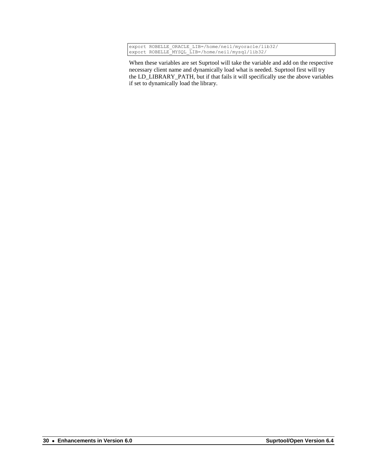|  | export ROBELLE ORACLE LIB=/home/neil/myoracle/lib32/ |
|--|------------------------------------------------------|
|  | export ROBELLE MYSQL LIB=/home/neil/mysql/lib32/     |

When these variables are set Suprtool will take the variable and add on the respective necessary client name and dynamically load what is needed. Suprtool first will try the LD\_LIBRARY\_PATH, but if that fails it will specifically use the above variables if set to dynamically load the library.